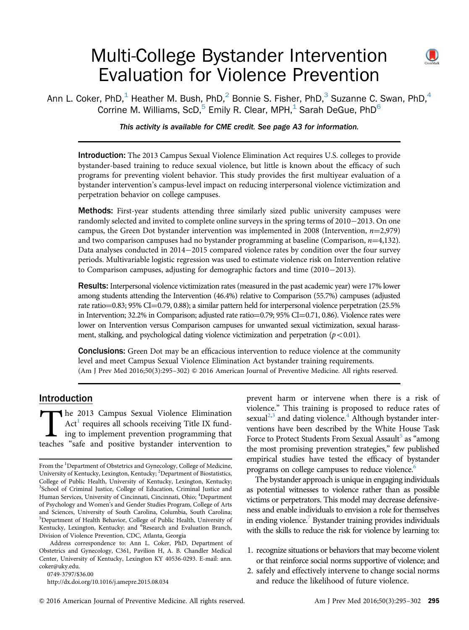# Multi-College Bystander Intervention Evaluation for Violence Prevention



Ann L. Coker, PhD,<sup>1</sup> Heather M. Bush, PhD,<sup>2</sup> Bonnie S. Fisher, PhD,<sup>3</sup> Suzanne C. Swan, PhD,<sup>4</sup> Corrine M. Williams, ScD, $^5$  Emily R. Clear, MPH, $^1$  Sarah DeGue, PhD $^6$ 

This activity is available for CME credit. See page A3 for information.

Introduction: The 2013 Campus Sexual Violence Elimination Act requires U.S. colleges to provide bystander-based training to reduce sexual violence, but little is known about the efficacy of such programs for preventing violent behavior. This study provides the first multiyear evaluation of a bystander intervention's campus-level impact on reducing interpersonal violence victimization and perpetration behavior on college campuses.

Methods: First-year students attending three similarly sized public university campuses were randomly selected and invited to complete online surveys in the spring terms of  $2010-2013$ . On one campus, the Green Dot bystander intervention was implemented in 2008 (Intervention,  $n=2,979$ ) and two comparison campuses had no bystander programming at baseline (Comparison,  $n=4,132$ ). Data analyses conducted in 2014–2015 compared violence rates by condition over the four survey periods. Multivariable logistic regression was used to estimate violence risk on Intervention relative to Comparison campuses, adjusting for demographic factors and time  $(2010-2013)$ .

Results: Interpersonal violence victimization rates (measured in the past academic year) were 17% lower among students attending the Intervention (46.4%) relative to Comparison (55.7%) campuses (adjusted rate ratio = 0.83; 95% CI = 0.79, 0.88); a similar pattern held for interpersonal violence perpetration (25.5% in Intervention; 32.2% in Comparison; adjusted rate ratio=0.79; 95% CI=0.71, 0.86). Violence rates were lower on Intervention versus Comparison campuses for unwanted sexual victimization, sexual harassment, stalking, and psychological dating violence victimization and perpetration  $(p<0.01)$ .

**Conclusions:** Green Dot may be an efficacious intervention to reduce violence at the community level and meet Campus Sexual Violence Elimination Act bystander training requirements. (Am J Prev Med 2016;50(3):295–302) & 2016 American Journal of Preventive Medicine. All rights reserved.

# Introduction

The [2](#page-7-0)013 Campus Sexual Violence Elimination<br>Act<sup>1</sup> requires all schools receiving Title IX fund-<br>ing to implement prevention programming that<br>teaches "safe and positive bystander intervention to  $Act<sup>1</sup>$  requires all schools receiving Title IX funding to implement prevention programming that

0749-3797/\$36.00

<http://dx.doi.org/10.1016/j.amepre.2015.08.034>

prevent harm or intervene when there is a risk of violence." This training is proposed to reduce rates of sexual<sup>[2,3](#page-7-0)</sup> and dating violence.<sup>[4](#page-7-0)</sup> Although bystander interventions have been described by the White House Task Force to Protect Students From Sexual Assault<sup>[5](#page-7-0)</sup> as "among" the most promising prevention strategies," few published empirical studies have tested the efficacy of bystander programs on college campuses to reduce violence.<sup>[6](#page-7-0)</sup>

The bystander approach is unique in engaging individuals as potential witnesses to violence rather than as possible victims or perpetrators. This model may decrease defensiveness and enable individuals to envision a role for themselves in ending violence.<sup>[7](#page-7-0)</sup> Bystander training provides individuals with the skills to reduce the risk for violence by learning to:

- 1. recognize situations or behaviors that may become violent or that reinforce social norms supportive of violence; and
- 2. safely and effectively intervene to change social norms and reduce the likelihood of future violence.

From the <sup>1</sup>Department of Obstetrics and Gynecology, College of Medicine, University of Kentucky, Lexington, Kentucky; <sup>2</sup>Department of Biostatistics, College of Public Health, University of Kentucky, Lexington, Kentucky; <sup>3</sup>School of Criminal Justice, College of Education, Criminal Justice and Human Services, University of Cincinnati, Cincinnati, Ohio; <sup>4</sup>Department of Psychology and Women's and Gender Studies Program, College of Arts and Sciences, University of South Carolina, Columbia, South Carolina; <sup>5</sup>Department of Health Behavior, College of Public Health, University of Kentucky, Lexington, Kentucky; and <sup>6</sup>Research and Evaluation Branch, Division of Violence Prevention, CDC, Atlanta, Georgia

Address correspondence to: Ann L. Coker, PhD, Department of Obstetrics and Gynecology, C361, Pavilion H, A. B. Chandler Medical Center, University of Kentucky, Lexington KY 40536-0293. E-mail: [ann.](mailto:ann.coker@uky.edu) [coker@uky.edu.](mailto:ann.coker@uky.edu)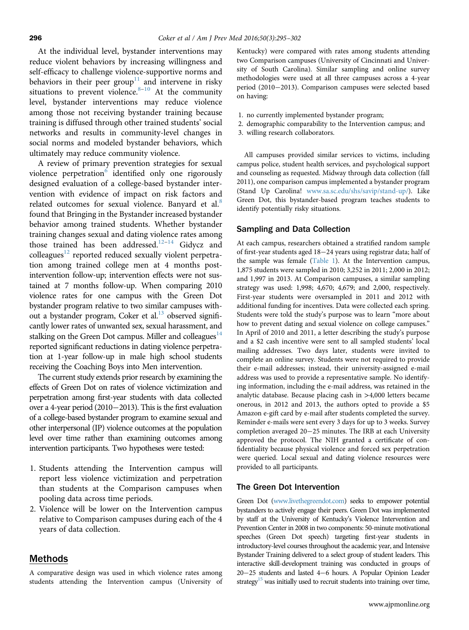At the individual level, bystander interventions may reduce violent behaviors by increasing willingness and self-efficacy to challenge violence-supportive norms and behaviors in their peer group<sup>[11](#page-7-0)</sup> and intervene in risky situations to prevent violence. $8-10$  $8-10$  At the community level, bystander interventions may reduce violence among those not receiving bystander training because training is diffused through other trained students' social networks and results in community-level changes in social norms and modeled bystander behaviors, which ultimately may reduce community violence.

A review of primary prevention strategies for sexual violence perpetration $6$  identified only one rigorously designed evaluation of a college-based bystander intervention with evidence of impact on risk factors and related outcomes for sexual violence. Banyard et al.<sup>[8](#page-7-0)</sup> found that Bringing in the Bystander increased bystander behavior among trained students. Whether bystander training changes sexual and dating violence rates among those trained has been addressed.<sup>12-[14](#page-7-0)</sup> Gidycz and colleagues<sup>12</sup> reported reduced sexually violent perpetration among trained college men at 4 months postintervention follow-up; intervention effects were not sustained at 7 months follow-up. When comparing 2010 violence rates for one campus with the Green Dot bystander program relative to two similar campuses without a bystander program, Coker et al.<sup>13</sup> observed significantly lower rates of unwanted sex, sexual harassment, and stalking on the Green Dot campus. Miller and colleagues $14$ reported significant reductions in dating violence perpetration at 1-year follow-up in male high school students receiving the Coaching Boys into Men intervention.

The current study extends prior research by examining the effects of Green Dot on rates of violence victimization and perpetration among first-year students with data collected over a 4-year period (2010 $-$ 2013). This is the first evaluation of a college-based bystander program to examine sexual and other interpersonal (IP) violence outcomes at the population level over time rather than examining outcomes among intervention participants. Two hypotheses were tested:

- 1. Students attending the Intervention campus will report less violence victimization and perpetration than students at the Comparison campuses when pooling data across time periods.
- 2. Violence will be lower on the Intervention campus relative to Comparison campuses during each of the 4 years of data collection.

# Methods

A comparative design was used in which violence rates among students attending the Intervention campus (University of Kentucky) were compared with rates among students attending two Comparison campuses (University of Cincinnati and University of South Carolina). Similar sampling and online survey methodologies were used at all three campuses across a 4-year period (2010-2013). Comparison campuses were selected based on having:

- 1. no currently implemented bystander program;
- 2. demographic comparability to the Intervention campus; and
- 3. willing research collaborators.

All campuses provided similar services to victims, including campus police, student health services, and psychological support and counseling as requested. Midway through data collection (fall 2011), one comparison campus implemented a bystander program (Stand Up Carolina! [www.sa.sc.edu/shs/savip/stand-up/\)](www.sa.sc.edu/shs/savip/stand-up/). Like Green Dot, this bystander-based program teaches students to identify potentially risky situations.

#### Sampling and Data Collection

At each campus, researchers obtained a stratified random sample of first-year students aged  $18-24$  years using registrar data; half of the sample was female ([Table 1](#page-2-0)). At the Intervention campus, 1,875 students were sampled in 2010; 3,252 in 2011; 2,000 in 2012; and 1,997 in 2013. At Comparison campuses, a similar sampling strategy was used: 1,998; 4,670; 4,679; and 2,000, respectively. First-year students were oversampled in 2011 and 2012 with additional funding for incentives. Data were collected each spring. Students were told the study's purpose was to learn "more about how to prevent dating and sexual violence on college campuses." In April of 2010 and 2011, a letter describing the study's purpose and a \$2 cash incentive were sent to all sampled students' local mailing addresses. Two days later, students were invited to complete an online survey. Students were not required to provide their e-mail addresses; instead, their university-assigned e-mail address was used to provide a representative sample. No identifying information, including the e-mail address, was retained in the analytic database. Because placing cash in >4,000 letters became onerous, in 2012 and 2013, the authors opted to provide a \$5 Amazon e-gift card by e-mail after students completed the survey. Reminder e-mails were sent every 3 days for up to 3 weeks. Survey completion averaged 20-25 minutes. The IRB at each University approved the protocol. The NIH granted a certificate of confidentiality because physical violence and forced sex perpetration were queried. Local sexual and dating violence resources were provided to all participants.

# The Green Dot Intervention

Green Dot [\(www.livethegreendot.com\)](www.livethegreendot.com) seeks to empower potential bystanders to actively engage their peers. Green Dot was implemented by staff at the University of Kentucky's Violence Intervention and Prevention Center in 2008 in two components: 50-minute motivational speeches (Green Dot speech) targeting first-year students in introductory-level courses throughout the academic year, and Intensive Bystander Training delivered to a select group of student leaders. This interactive skill-development training was conducted in groups of  $20-25$  students and lasted  $4-6$  hours. A Popular Opinion Leader strategy<sup>15</sup> was initially used to recruit students into training; over time,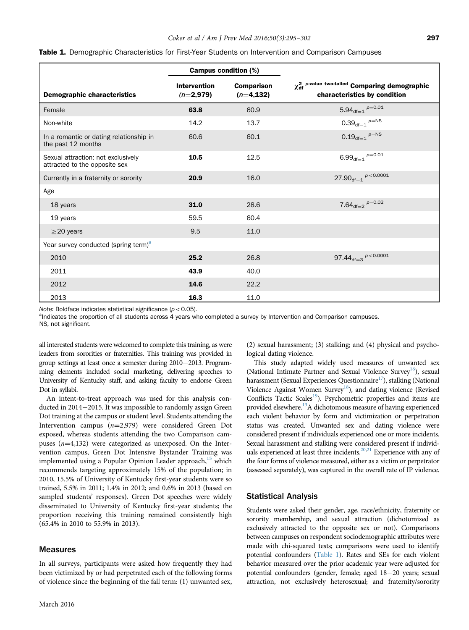|                                                                     |                                    | <b>Campus condition (%)</b>       |                                                                                               |  |  |  |
|---------------------------------------------------------------------|------------------------------------|-----------------------------------|-----------------------------------------------------------------------------------------------|--|--|--|
| <b>Demographic characteristics</b>                                  | <b>Intervention</b><br>$(n=2,979)$ | <b>Comparison</b><br>$(n=4, 132)$ | $\chi^2_{\text{df}}$ p-value two-tailed Comparing demographic<br>characteristics by condition |  |  |  |
| Female                                                              | 63.8                               | 60.9                              | $5.94_{df=1}$ $p=0.01$                                                                        |  |  |  |
| Non-white                                                           | 14.2                               | 13.7                              | $0.39_{df=1}^{p=NS}$                                                                          |  |  |  |
| In a romantic or dating relationship in<br>the past 12 months       | 60.6                               | 60.1                              | $0.19_{df=1}$ $p=NS$                                                                          |  |  |  |
| Sexual attraction: not exclusively<br>attracted to the opposite sex | 10.5                               | 12.5                              | $6.99_{df=1}$ $p=0.01$                                                                        |  |  |  |
| Currently in a fraternity or sorority                               | 20.9                               | 16.0                              | $27.90_{df=1}$ $p < 0.0001$                                                                   |  |  |  |
| Age                                                                 |                                    |                                   |                                                                                               |  |  |  |
| 18 years                                                            | 31.0                               | 28.6                              | $7.64_{df=2}$ $p=0.02$                                                                        |  |  |  |
| 19 years                                                            | 59.5                               | 60.4                              |                                                                                               |  |  |  |
| $\geq$ 20 years                                                     | 9.5                                | 11.0                              |                                                                                               |  |  |  |
| Year survey conducted (spring term) <sup>a</sup>                    |                                    |                                   |                                                                                               |  |  |  |
| 2010                                                                | 25.2                               | 26.8                              | 97.44 $d_{\text{df}=3}$ $p < 0.0001$                                                          |  |  |  |
| 2011                                                                | 43.9                               | 40.0                              |                                                                                               |  |  |  |
| 2012                                                                | 14.6                               | 22.2                              |                                                                                               |  |  |  |
| 2013                                                                | 16.3                               | 11.0                              |                                                                                               |  |  |  |

<span id="page-2-0"></span>

| <b>Table 1.</b> Demographic Characteristics for First-Year Students on Intervention and Comparison Campuses |  |  |
|-------------------------------------------------------------------------------------------------------------|--|--|
|-------------------------------------------------------------------------------------------------------------|--|--|

Note: Boldface indicates statistical significance  $(p<0.05)$ .

<sup>a</sup>lndicates the proportion of all students across 4 years who completed a survey by Intervention and Comparison campuses.

NS, not significant.

all interested students were welcomed to complete this training, as were leaders from sororities or fraternities. This training was provided in group settings at least once a semester during 2010-2013. Programming elements included social marketing, delivering speeches to University of Kentucky staff, and asking faculty to endorse Green Dot in syllabi.

An intent-to-treat approach was used for this analysis conducted in 2014–2015. It was impossible to randomly assign Green Dot training at the campus or student level. Students attending the Intervention campus  $(n=2,979)$  were considered Green Dot exposed, whereas students attending the two Comparison campuses  $(n=4,132)$  were categorized as unexposed. On the Intervention campus, Green Dot Intensive Bystander Training was implemented using a Popular Opinion Leader approach,<sup>[15](#page-7-0)</sup> which recommends targeting approximately 15% of the population; in 2010, 15.5% of University of Kentucky first-year students were so trained, 5.5% in 2011; 1.4% in 2012; and 0.6% in 2013 (based on sampled students' responses). Green Dot speeches were widely disseminated to University of Kentucky first-year students; the proportion receiving this training remained consistently high (65.4% in 2010 to 55.9% in 2013).

#### Measures

In all surveys, participants were asked how frequently they had been victimized by or had perpetrated each of the following forms of violence since the beginning of the fall term: (1) unwanted sex, (2) sexual harassment; (3) stalking; and (4) physical and psychological dating violence.

This study adapted widely used measures of unwanted sex (National Intimate Partner and Sexual Violence Survey<sup>16</sup>), sexual harassment (Sexual Experiences Questionnaire $17$ ), stalking (National Violence Against Women Survey<sup>18</sup>), and dating violence (Revised Conflicts Tactic Scales<sup>19</sup>). Psychometric properties and items are provided elsewhere.<sup>13</sup>A dichotomous measure of having experienced each violent behavior by form and victimization or perpetration status was created. Unwanted sex and dating violence were considered present if individuals experienced one or more incidents. Sexual harassment and stalking were considered present if individ-uals experienced at least three incidents.<sup>20,[21](#page-7-0)</sup> Experience with any of the four forms of violence measured, either as a victim or perpetrator (assessed separately), was captured in the overall rate of IP violence.

#### Statistical Analysis

Students were asked their gender, age, race/ethnicity, fraternity or sorority membership, and sexual attraction (dichotomized as exclusively attracted to the opposite sex or not). Comparisons between campuses on respondent sociodemographic attributes were made with chi-squared tests; comparisons were used to identify potential confounders (Table 1). Rates and SEs for each violent behavior measured over the prior academic year were adjusted for potential confounders (gender, female; aged 18-20 years; sexual attraction, not exclusively heterosexual; and fraternity/sorority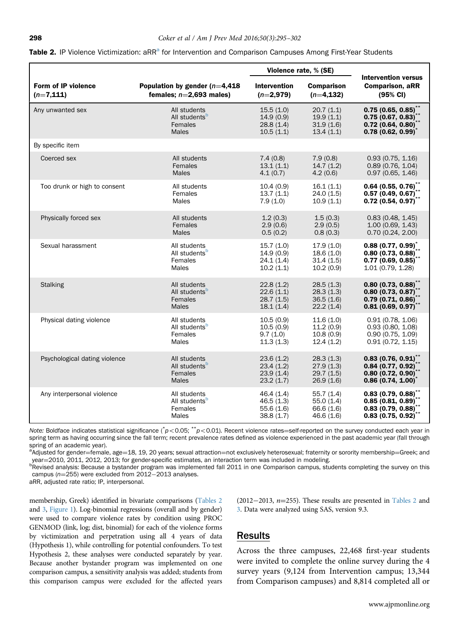|                                     |                                                               | Violence rate, % (SE)              |                                   |                                                                            |
|-------------------------------------|---------------------------------------------------------------|------------------------------------|-----------------------------------|----------------------------------------------------------------------------|
| Form of IP violence<br>$(n=7, 111)$ | Population by gender ( $n=4,418$<br>females; $n=2,693$ males) | <b>Intervention</b><br>$(n=2,979)$ | <b>Comparison</b><br>$(n=4, 132)$ | <b>Intervention versus</b><br><b>Comparison, aRR</b><br>$(95% \text{ Cl})$ |
| Any unwanted sex                    | All students                                                  | 15.5(1.0)                          | 20.7(1.1)                         | 0.75(0.65, 0.85)                                                           |
|                                     | All students <sup>b</sup>                                     | 14.9(0.9)                          | 19.9(1.1)                         | 0.75(0.67, 0.83)                                                           |
|                                     | Females                                                       | 28.8(1.4)                          | 31.9(1.6)                         | $0.72$ (0.64, 0.80) <sup>*</sup>                                           |
|                                     | <b>Males</b>                                                  | 10.5(1.1)                          | 13.4(1.1)                         | $0.78(0.62, 0.99)^T$                                                       |
| By specific item                    |                                                               |                                    |                                   |                                                                            |
| Coerced sex                         | All students                                                  | 7.4(0.8)                           | 7.9(0.8)                          | 0.93(0.75, 1.16)                                                           |
|                                     | Females                                                       | 13.1(1.1)                          | 14.7(1.2)                         | 0.89(0.76, 1.04)                                                           |
|                                     | <b>Males</b>                                                  | 4.1(0.7)                           | 4.2(0.6)                          | 0.97(0.65, 1.46)                                                           |
| Too drunk or high to consent        | All students                                                  | 10.4(0.9)                          | 16.1(1.1)                         | $0.64$ $(0.55, 0.76)$ **                                                   |
|                                     | Females                                                       | 13.7(1.1)                          | 24.0(1.5)                         | 0.57(0.49, 0.67)                                                           |
|                                     | <b>Males</b>                                                  | 7.9(1.0)                           | 10.9(1.1)                         | $0.72$ (0.54, 0.97) <sup>*</sup>                                           |
| Physically forced sex               | All students                                                  | 1.2(0.3)                           | 1.5(0.3)                          | 0.83(0.48, 1.45)                                                           |
|                                     | Females                                                       | 2.9(0.6)                           | 2.9(0.5)                          | 1.00(0.69, 1.43)                                                           |
|                                     | <b>Males</b>                                                  | 0.5(0.2)                           | 0.8(0.3)                          | 0.70(0.24, 2.00)                                                           |
| Sexual harassment                   | All students                                                  | 15.7(1.0)                          | 17.9(1.0)                         | $0.88(0.77, 0.99)^{*}$                                                     |
|                                     | All students <sup>b</sup>                                     | 14.9(0.9)                          | 18.6(1.0)                         | 0.80(0.73, 0.88)                                                           |
|                                     | Females                                                       | 24.1(1.4)                          | 31.4(1.5)                         | $0.77(0.69, 0.85)^T$                                                       |
|                                     | Males                                                         | 10.2(1.1)                          | 10.2(0.9)                         | 1.01 (0.79, 1.28)                                                          |
| <b>Stalking</b>                     | All students                                                  | 22.8(1.2)                          | 28.5(1.3)                         | $0.80$ (0.73, 0.88) <sup>**</sup>                                          |
|                                     | All students <sup>b</sup>                                     | 22.6(1.1)                          | 28.3(1.3)                         | $0.80(0.73, 0.87)$ **                                                      |
|                                     | Females                                                       | 28.7(1.5)                          | 36.5(1.6)                         | 0.79(0.71, 0.86)                                                           |
|                                     | <b>Males</b>                                                  | 18.1(1.4)                          | 22.2(1.4)                         | 0.81(0.69, 0.97)                                                           |
| Physical dating violence            | All students                                                  | 10.5(0.9)                          | 11.6(1.0)                         | 0.91(0.78, 1.06)                                                           |
|                                     | All students <sup>b</sup>                                     | 10.5(0.9)                          | 11.2(0.9)                         | 0.93(0.80, 1.08)                                                           |
|                                     | Females                                                       | 9.7(1.0)                           | 10.8(0.9)                         | 0.90(0.75, 1.09)                                                           |
|                                     | Males                                                         | 11.3(1.3)                          | 12.4(1.2)                         | 0.91(0.72, 1.15)                                                           |
| Psychological dating violence       | All students                                                  | 23.6(1.2)                          | 28.3(1.3)                         | $0.83$ (0.76, 0.91) <sup>**</sup>                                          |
|                                     | All students <sup>b</sup>                                     | 23.4(1.2)                          | 27.9(1.3)                         | $0.84$ (0.77, 0.92) <sup>*</sup>                                           |
|                                     | Females                                                       | 23.9(1.4)                          | 29.7(1.5)                         | $0.80$ (0.72, 0.90) <sup>*</sup>                                           |
|                                     | <b>Males</b>                                                  | 23.2(1.7)                          | 26.9(1.6)                         | $0.86$ (0.74, 1.00) <sup>*</sup>                                           |
| Any interpersonal violence          | All students                                                  | 46.4 (1.4)                         | 55.7(1.4)                         | $0.83(0.79, 0.88)^{11}$                                                    |
|                                     | All students <sup>b</sup>                                     | 46.5(1.3)                          | 55.0(1.4)                         | 0.85(0.81, 0.89)                                                           |
|                                     | Females                                                       | 55.6(1.6)                          | 66.6 (1.6)                        | 0.83(0.79, 0.88)                                                           |
|                                     | Males                                                         | 38.8(1.7)                          | 46.6(1.6)                         | 0.83(0.75, 0.92)                                                           |

<span id="page-3-0"></span>

|  | Table 2. IP Violence Victimization: aRR <sup>a</sup> for Intervention and Comparison Campuses Among First-Year Students |  |  |  |  |
|--|-------------------------------------------------------------------------------------------------------------------------|--|--|--|--|
|  |                                                                                                                         |  |  |  |  |

Note: Boldface indicates statistical significance ( $p$ <0.05; \*\*p<0.01). Recent violence rates=self-reported on the survey conducted each year in spring term as having occurring since the fall term; recent prevalence rates defined as violence experienced in the past academic year (fall through spring of an academic year).

a<br>Adjusted for gender=female, age=18, 19, 20 years; sexual attraction=not exclusively heterosexual; fraternity or sorority membership=Greek; and year=2010, 2011, 2012, 2013; for gender-specific estimates, an interaction term was included in modeling.

<sup>b</sup>Revised analysis: Because a bystander program was implemented fall 2011 in one Comparison campus, students completing the survey on this campus ( $n=255$ ) were excluded from  $2012-2013$  analyses.

aRR, adjusted rate ratio; IP, interpersonal.

membership, Greek) identified in bivariate comparisons (Tables 2 and [3](#page-4-0), [Figure 1](#page-5-0)). Log-binomial regressions (overall and by gender) were used to compare violence rates by condition using PROC GENMOD (link, log; dist, binomial) for each of the violence forms by victimization and perpetration using all 4 years of data (Hypothesis 1), while controlling for potential confounders. To test Hypothesis 2, these analyses were conducted separately by year. Because another bystander program was implemented on one comparison campus, a sensitivity analysis was added; students from this comparison campus were excluded for the affected years

#### (2012–2013,  $n=255$ ). These results are presented in Tables 2 and [3](#page-4-0). Data were analyzed using SAS, version 9.3.

# Results

Across the three campuses, 22,468 first-year students were invited to complete the online survey during the 4 survey years (9,124 from Intervention campus; 13,344 from Comparison campuses) and 8,814 completed all or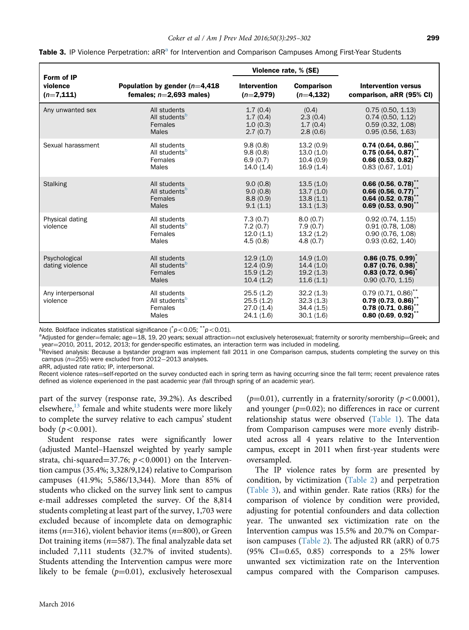| Form of IP                       |                                                                      |                                                  | Violence rate, % (SE)                            |                                                                                                  |
|----------------------------------|----------------------------------------------------------------------|--------------------------------------------------|--------------------------------------------------|--------------------------------------------------------------------------------------------------|
| violence                         | Population by gender $(n=4.418)$                                     | <b>Intervention</b>                              | <b>Comparison</b>                                | <b>Intervention versus</b>                                                                       |
| $(n=7, 111)$                     | females; $n=2,693$ males)                                            | $(n=2,979)$                                      | $(n=4, 132)$                                     | comparison, aRR (95% CI)                                                                         |
| Any unwanted sex                 | All students                                                         | 1.7(0.4)                                         | (0.4)                                            | 0.75(0.50, 1.13)                                                                                 |
|                                  | All students <sup>b</sup>                                            | 1.7(0.4)                                         | 2.3(0.4)                                         | 0.74(0.50, 1.12)                                                                                 |
|                                  | Females                                                              | 1.0(0.3)                                         | 1.7(0.4)                                         | 0.59(0.32, 1.08)                                                                                 |
|                                  | <b>Males</b>                                                         | 2.7(0.7)                                         | 2.8(0.6)                                         | 0.95(0.56, 1.63)                                                                                 |
| Sexual harassment                | All students                                                         | 9.8(0.8)                                         | 13.2(0.9)                                        | $0.74(0.64, 0.86)^{*}$                                                                           |
|                                  | All students <sup>b</sup>                                            | 9.8(0.8)                                         | 13.0(1.0)                                        | 0.75(0.64, 0.87)                                                                                 |
|                                  | Females                                                              | 6.9(0.7)                                         | 10.4(0.9)                                        | 0.66(0.53, 0.82)                                                                                 |
|                                  | Males                                                                | 14.0(1.4)                                        | 16.9(1.4)                                        | 0.83(0.67, 1.01)                                                                                 |
| <b>Stalking</b>                  | All students                                                         | 9.0(0.8)                                         | 13.5(1.0)                                        | $0.66$ (0.56, 0.78) <sup>**</sup>                                                                |
|                                  | All students <sup>b</sup>                                            | 9.0(0.8)                                         | 13.7(1.0)                                        | $0.66$ (0.56, 0.77) <sup>*</sup>                                                                 |
|                                  | Females                                                              | 8.8(0.9)                                         | 13.8(1.1)                                        | $0.64$ (0.52, 0.78) <sup>*</sup>                                                                 |
|                                  | <b>Males</b>                                                         | 9.1(1.1)                                         | 13.1(1.3)                                        | $0.69(0.53, 0.90)^T$                                                                             |
| Physical dating<br>violence      | All students<br>All students <sup>b</sup><br>Females<br>Males        | 7.3(0.7)<br>7.2(0.7)<br>12.0(1.1)<br>4.5(0.8)    | 8.0(0.7)<br>7.9(0.7)<br>13.2(1.2)<br>4.8(0.7)    | 0.92(0.74, 1.15)<br>0.91(0.78, 1.08)<br>0.90(0.76, 1.08)<br>0.93(0.62, 1.40)                     |
| Psychological<br>dating violence | All students<br>All students <sup>b</sup><br>Females<br><b>Males</b> | 12.9(1.0)<br>12.4(0.9)<br>15.9(1.2)<br>10.4(1.2) | 14.9(1.0)<br>14.4(1.0)<br>19.2(1.3)<br>11.6(1.1) | $0.86(0.75, 0.99)^T$<br>0.87(0.76, 0.98)<br>0.83(0.72, 0.96)<br>0.90(0.70, 1.15)                 |
| Any interpersonal<br>violence    | All students<br>All students <sup>b</sup><br>Females<br>Males        | 25.5(1.2)<br>25.5(1.2)<br>27.0(1.4)<br>24.1(1.6) | 32.2(1.3)<br>32.3(1.3)<br>34.4(1.5)<br>30.1(1.6) | $0.79$ (0.71, 0.86) <sup>**</sup><br>0.79(0.73, 0.86)<br>$0.78$ (0.71, 0.86)<br>0.80(0.69, 0.92) |

<span id="page-4-0"></span>

Note. Boldface indicates statistical significance  $({}^*p<0.05; {}^{**}p<0.01)$ .<br><sup>a</sup>Mdiusted for gender-female: age-18, 19, 20 vears: sexual attraction

aAdjusted for gender=female; age=18, 19, 20 years; sexual attraction=not exclusively heterosexual; fraternity or sorority membership=Greek; and year=2010, 2011, 2012, 2013; for gender-specific estimates, an interaction term was included in modeling.

<sup>b</sup>Revised analysis: Because a bystander program was implement fall 2011 in one Comparison campus, students completing the survey on this campus ( $n=255$ ) were excluded from  $2012-2013$  analyses.

aRR, adjusted rate ratio; IP, interpersonal.

Recent violence rates=self-reported on the survey conducted each in spring term as having occurring since the fall term; recent prevalence rates defined as violence experienced in the past academic year (fall through spring of an academic year).

part of the survey (response rate, 39.2%). As described elsewhere, $^{13}$  $^{13}$  $^{13}$  female and white students were more likely to complete the survey relative to each campus' student body  $(p < 0.001)$ .

Student response rates were significantly lower (adjusted Mantel–Haenszel weighted by yearly sample strata, chi-squared=37.76;  $p < 0.0001$ ) on the Intervention campus (35.4%; 3,328/9,124) relative to Comparison campuses (41.9%; 5,586/13,344). More than 85% of students who clicked on the survey link sent to campus e-mail addresses completed the survey. Of the 8,814 students completing at least part of the survey, 1,703 were excluded because of incomplete data on demographic items ( $n=316$ ), violent behavior items ( $n=800$ ), or Green Dot training items ( $n=587$ ). The final analyzable data set included 7,111 students (32.7% of invited students). Students attending the Intervention campus were more likely to be female  $(p=0.01)$ , exclusively heterosexual ( $p=0.01$ ), currently in a fraternity/sorority ( $p<0.0001$ ), and younger ( $p=0.02$ ); no differences in race or current relationship status were observed ([Table 1](#page-2-0)). The data from Comparison campuses were more evenly distributed across all 4 years relative to the Intervention campus, except in 2011 when first-year students were oversampled.

The IP violence rates by form are presented by condition, by victimization [\(Table 2](#page-3-0)) and perpetration (Table 3), and within gender. Rate ratios (RRs) for the comparison of violence by condition were provided, adjusting for potential confounders and data collection year. The unwanted sex victimization rate on the Intervention campus was 15.5% and 20.7% on Comparison campuses [\(Table 2\)](#page-3-0). The adjusted RR (aRR) of 0.75  $(95\% \text{ CI} = 0.65, 0.85)$  corresponds to a 25% lower unwanted sex victimization rate on the Intervention campus compared with the Comparison campuses.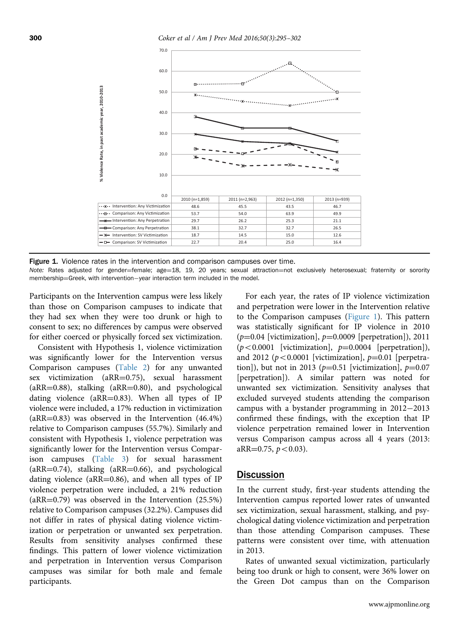<span id="page-5-0"></span>

Figure 1. Violence rates in the intervention and comparison campuses over time.

Note: Rates adjusted for gender=female; age=18, 19, 20 years; sexual attraction=not exclusively heterosexual; fraternity or sorority membership=Greek, with intervention-year interaction term included in the model.

Participants on the Intervention campus were less likely than those on Comparison campuses to indicate that they had sex when they were too drunk or high to consent to sex; no differences by campus were observed for either coerced or physically forced sex victimization.

Consistent with Hypothesis 1, violence victimization was significantly lower for the Intervention versus Comparison campuses [\(Table 2](#page-3-0)) for any unwanted sex victimization (aRR=0.75), sexual harassment  $(aRR=0.88)$ , stalking  $(aRR=0.80)$ , and psychological dating violence ( $aRR=0.83$ ). When all types of IP violence were included, a 17% reduction in victimization  $(aRR=0.83)$  was observed in the Intervention  $(46.4\%)$ relative to Comparison campuses (55.7%). Similarly and consistent with Hypothesis 1, violence perpetration was significantly lower for the Intervention versus Comparison campuses ([Table 3\)](#page-4-0) for sexual harassment  $(aRR=0.74)$ , stalking  $(aRR=0.66)$ , and psychological dating violence ( $aRR=0.86$ ), and when all types of IP violence perpetration were included, a 21% reduction  $(aRR=0.79)$  was observed in the Intervention  $(25.5%)$ relative to Comparison campuses (32.2%). Campuses did not differ in rates of physical dating violence victimization or perpetration or unwanted sex perpetration. Results from sensitivity analyses confirmed these findings. This pattern of lower violence victimization and perpetration in Intervention versus Comparison campuses was similar for both male and female participants.

For each year, the rates of IP violence victimization and perpetration were lower in the Intervention relative to the Comparison campuses (Figure 1). This pattern was statistically significant for IP violence in 2010  $(p=0.04$  [victimization],  $p=0.0009$  [perpetration]), 2011  $(p<0.0001$  [victimization],  $p=0.0004$  [perpetration]), and 2012 ( $p < 0.0001$  [victimization],  $p = 0.01$  [perpetration]), but not in 2013 ( $p=0.51$  [victimization],  $p=0.07$ [perpetration]). A similar pattern was noted for unwanted sex victimization. Sensitivity analyses that excluded surveyed students attending the comparison campus with a bystander programming in  $2012-2013$ confirmed these findings, with the exception that IP violence perpetration remained lower in Intervention versus Comparison campus across all 4 years (2013: aRR= $0.75$ ,  $p < 0.03$ ).

## **Discussion**

In the current study, first-year students attending the Intervention campus reported lower rates of unwanted sex victimization, sexual harassment, stalking, and psychological dating violence victimization and perpetration than those attending Comparison campuses. These patterns were consistent over time, with attenuation in 2013.

Rates of unwanted sexual victimization, particularly being too drunk or high to consent, were 36% lower on the Green Dot campus than on the Comparison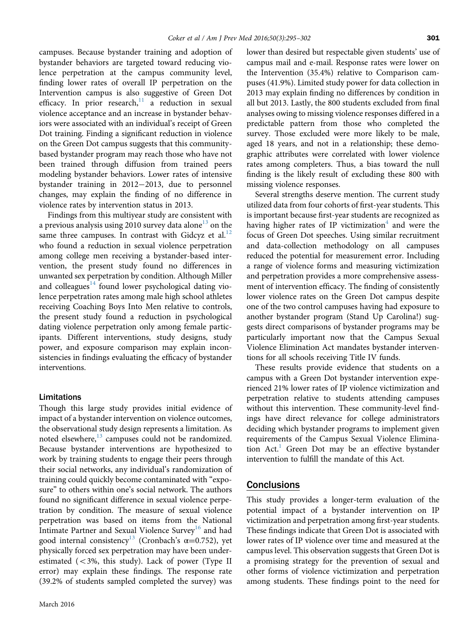campuses. Because bystander training and adoption of bystander behaviors are targeted toward reducing violence perpetration at the campus community level, finding lower rates of overall IP perpetration on the Intervention campus is also suggestive of Green Dot efficacy. In prior research, $11$  a reduction in sexual violence acceptance and an increase in bystander behaviors were associated with an individual's receipt of Green Dot training. Finding a significant reduction in violence on the Green Dot campus suggests that this communitybased bystander program may reach those who have not been trained through diffusion from trained peers modeling bystander behaviors. Lower rates of intensive bystander training in  $2012-2013$ , due to personnel changes, may explain the finding of no difference in violence rates by intervention status in 2013.

Findings from this multiyear study are consistent with a previous analysis using 2010 survey data alone<sup>13</sup> on the same three campuses. In contrast with Gidcyz et al.<sup>12</sup> who found a reduction in sexual violence perpetration among college men receiving a bystander-based intervention, the present study found no differences in unwanted sex perpetration by condition. Although Miller and colleagues<sup>[14](#page-7-0)</sup> found lower psychological dating violence perpetration rates among male high school athletes receiving Coaching Boys Into Men relative to controls, the present study found a reduction in psychological dating violence perpetration only among female participants. Different interventions, study designs, study power, and exposure comparison may explain inconsistencies in findings evaluating the efficacy of bystander interventions.

#### Limitations

Though this large study provides initial evidence of impact of a bystander intervention on violence outcomes, the observational study design represents a limitation. As noted elsewhere, $^{13}$  campuses could not be randomized. Because bystander interventions are hypothesized to work by training students to engage their peers through their social networks, any individual's randomization of training could quickly become contaminated with "exposure" to others within one's social network. The authors found no significant difference in sexual violence perpetration by condition. The measure of sexual violence perpetration was based on items from the National Intimate Partner and Sexual Violence Survey<sup>16</sup> and had good internal consistency<sup>13</sup> (Cronbach's  $\alpha$ =0.752), yet physically forced sex perpetration may have been underestimated  $\left($  < 3%, this study). Lack of power (Type II error) may explain these findings. The response rate (39.2% of students sampled completed the survey) was

lower than desired but respectable given students' use of campus mail and e-mail. Response rates were lower on the Intervention (35.4%) relative to Comparison campuses (41.9%). Limited study power for data collection in 2013 may explain finding no differences by condition in all but 2013. Lastly, the 800 students excluded from final analyses owing to missing violence responses differed in a predictable pattern from those who completed the survey. Those excluded were more likely to be male, aged 18 years, and not in a relationship; these demographic attributes were correlated with lower violence rates among completers. Thus, a bias toward the null finding is the likely result of excluding these 800 with missing violence responses.

Several strengths deserve mention. The current study utilized data from four cohorts of first-year students. This is important because first-year students are recognized as having higher rates of IP victimization<sup>[4](#page-7-0)</sup> and were the focus of Green Dot speeches. Using similar recruitment and data-collection methodology on all campuses reduced the potential for measurement error. Including a range of violence forms and measuring victimization and perpetration provides a more comprehensive assessment of intervention efficacy. The finding of consistently lower violence rates on the Green Dot campus despite one of the two control campuses having had exposure to another bystander program (Stand Up Carolina!) suggests direct comparisons of bystander programs may be particularly important now that the Campus Sexual Violence Elimination Act mandates bystander interventions for all schools receiving Title IV funds.

These results provide evidence that students on a campus with a Green Dot bystander intervention experienced 21% lower rates of IP violence victimization and perpetration relative to students attending campuses without this intervention. These community-level findings have direct relevance for college administrators deciding which bystander programs to implement given requirements of the Campus Sexual Violence Elimination  $Act.$ <sup>1</sup> Green Dot may be an effective bystander intervention to fulfill the mandate of this Act.

# **Conclusions**

This study provides a longer-term evaluation of the potential impact of a bystander intervention on IP victimization and perpetration among first-year students. These findings indicate that Green Dot is associated with lower rates of IP violence over time and measured at the campus level. This observation suggests that Green Dot is a promising strategy for the prevention of sexual and other forms of violence victimization and perpetration among students. These findings point to the need for